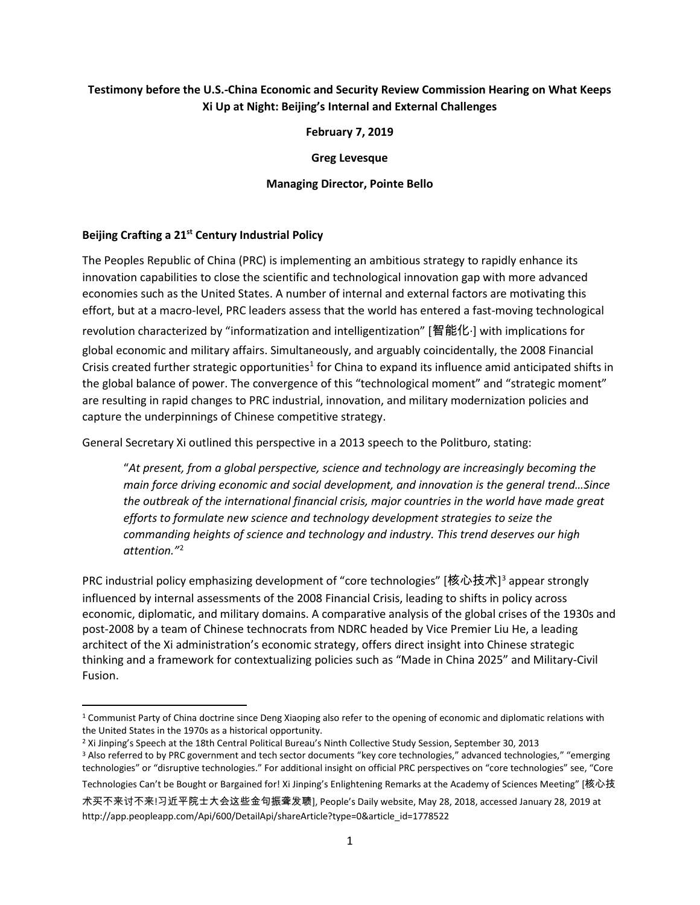# **Testimony before the U.S.-China Economic and Security Review Commission Hearing on What Keeps Xi Up at Night: Beijing's Internal and External Challenges**

**February 7, 2019**

**Greg Levesque**

#### **Managing Director, Pointe Bello**

#### **Beijing Crafting a 21st Century Industrial Policy**

The Peoples Republic of China (PRC) is implementing an ambitious strategy to rapidly enhance its innovation capabilities to close the scientific and technological innovation gap with more advanced economies such as the United States. A number of internal and external factors are motivating this effort, but at a macro-level, PRC leaders assess that the world has entered a fast-moving technological revolution characterized by "informatization and intelligentization" [智能化·] with implications for global economic and military affairs. Simultaneously, and arguably coincidentally, the 2008 Financial Crisis created further strategic opportunities<sup>[1](#page-0-0)</sup> for China to expand its influence amid anticipated shifts in the global balance of power. The convergence of this "technological moment" and "strategic moment" are resulting in rapid changes to PRC industrial, innovation, and military modernization policies and capture the underpinnings of Chinese competitive strategy.

General Secretary Xi outlined this perspective in a 2013 speech to the Politburo, stating:

"*At present, from a global perspective, science and technology are increasingly becoming the main force driving economic and social development, and innovation is the general trend…Since the outbreak of the international financial crisis, major countries in the world have made great efforts to formulate new science and technology development strategies to seize the commanding heights of science and technology and industry. This trend deserves our high attention."*[2](#page-0-1)

PRC industrial policy emphasizing development of "core technologies" [核心技术]<sup>[3](#page-0-2)</sup> appear strongly influenced by internal assessments of the 2008 Financial Crisis, leading to shifts in policy across economic, diplomatic, and military domains. A comparative analysis of the global crises of the 1930s and post-2008 by a team of Chinese technocrats from NDRC headed by Vice Premier Liu He, a leading architect of the Xi administration's economic strategy, offers direct insight into Chinese strategic thinking and a framework for contextualizing policies such as "Made in China 2025" and Military-Civil Fusion.

Technologies Can't be Bought or Bargained for! Xi Jinping's Enlightening Remarks at the Academy of Sciences Meeting" [核心技

<span id="page-0-0"></span><sup>&</sup>lt;sup>1</sup> Communist Party of China doctrine since Deng Xiaoping also refer to the opening of economic and diplomatic relations with the United States in the 1970s as a historical opportunity.

<span id="page-0-2"></span><span id="page-0-1"></span><sup>&</sup>lt;sup>2</sup> Xi Jinping's Speech at the 18th Central Political Bureau's Ninth Collective Study Session, September 30, 2013 <sup>3</sup> Also referred to by PRC government and tech sector documents "key core technologies," advanced technologies," "emerging technologies" or "disruptive technologies." For additional insight on official PRC perspectives on "core technologies" see, "Core

术买不来讨不来!习近平院士大会这些金句振聋发聩], People's Daily website, May 28, 2018, accessed January 28, 2019 at http://app.peopleapp.com/Api/600/DetailApi/shareArticle?type=0&article\_id=1778522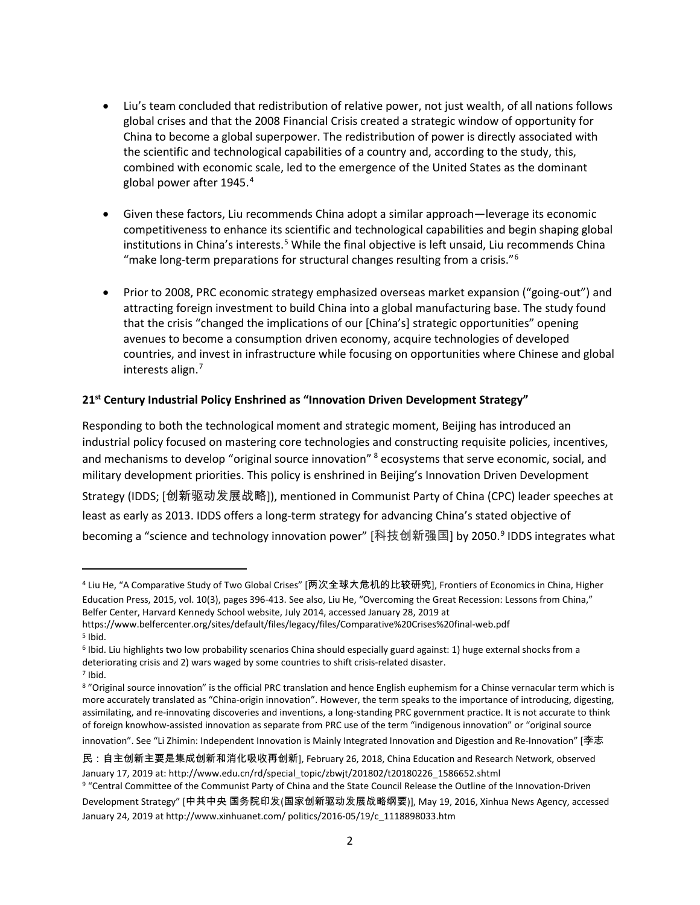- Liu's team concluded that redistribution of relative power, not just wealth, of all nations follows global crises and that the 2008 Financial Crisis created a strategic window of opportunity for China to become a global superpower. The redistribution of power is directly associated with the scientific and technological capabilities of a country and, according to the study, this, combined with economic scale, led to the emergence of the United States as the dominant global power after 19[4](#page-1-0)5.<sup>4</sup>
- Given these factors, Liu recommends China adopt a similar approach—leverage its economic competitiveness to enhance its scientific and technological capabilities and begin shaping global institutions in China's interests. [5](#page-1-1) While the final objective is left unsaid, Liu recommends China "make long-term preparations for structural changes resulting from a crisis."[6](#page-1-2)
- Prior to 2008, PRC economic strategy emphasized overseas market expansion ("going-out") and attracting foreign investment to build China into a global manufacturing base. The study found that the crisis "changed the implications of our [China's] strategic opportunities" opening avenues to become a consumption driven economy, acquire technologies of developed countries, and invest in infrastructure while focusing on opportunities where Chinese and global interests align.<sup>[7](#page-1-3)</sup>

# **21st Century Industrial Policy Enshrined as "Innovation Driven Development Strategy"**

Responding to both the technological moment and strategic moment, Beijing has introduced an industrial policy focused on mastering core technologies and constructing requisite policies, incentives, and mechanisms to develop "original source innovation" <sup>[8](#page-1-4)</sup> ecosystems that serve economic, social, and military development priorities. This policy is enshrined in Beijing's Innovation Driven Development Strategy (IDDS; [创新驱动发展战略]), mentioned in Communist Party of China (CPC) leader speeches at least as early as 2013. IDDS offers a long-term strategy for advancing China's stated objective of becoming a "science and technology innovation power" [科技创新强国] by 2050.<sup>[9](#page-1-5)</sup> IDDS integrates what

 $\overline{\phantom{a}}$ 

innovation". See "Li Zhimin: Independent Innovation is Mainly Integrated Innovation and Digestion and Re-Innovation" [李志

<span id="page-1-0"></span><sup>4</sup> Liu He, "A Comparative Study of Two Global Crises" [两次全球大危机的比较研究], Frontiers of Economics in China, Higher Education Press, 2015, vol. 10(3), pages 396-413. See also, Liu He, "Overcoming the Great Recession: Lessons from China," Belfer Center, Harvard Kennedy School website, July 2014, accessed January 28, 2019 at

<span id="page-1-1"></span>https://www.belfercenter.org/sites/default/files/legacy/files/Comparative%20Crises%20final-web.pdf  $5$  Ibid.

<span id="page-1-2"></span><sup>6</sup> Ibid. Liu highlights two low probability scenarios China should especially guard against: 1) huge external shocks from a deteriorating crisis and 2) wars waged by some countries to shift crisis-related disaster.<br><sup>7</sup> Ibid.

<span id="page-1-4"></span><span id="page-1-3"></span><sup>8</sup> "Original source innovation" is the official PRC translation and hence English euphemism for a Chinse vernacular term which is more accurately translated as "China-origin innovation". However, the term speaks to the importance of introducing, digesting, assimilating, and re-innovating discoveries and inventions, a long-standing PRC government practice. It is not accurate to think of foreign knowhow-assisted innovation as separate from PRC use of the term "indigenous innovation" or "original source

民:自主创新主要是集成创新和消化吸收再创新], February 26, 2018, China Education and Research Network, observed January 17, 2019 at: http://www.edu.cn/rd/special\_topic/zbwjt/201802/t20180226\_1586652.shtml

<span id="page-1-5"></span><sup>9</sup> "Central Committee of the Communist Party of China and the State Council Release the Outline of the Innovation-Driven Development Strategy" [中共中央 国务院印发(国家创新驱动发展战略纲要)], May 19, 2016, Xinhua News Agency, accessed

January 24, 2019 at http://www.xinhuanet.com/ politics/2016-05/19/c\_1118898033.htm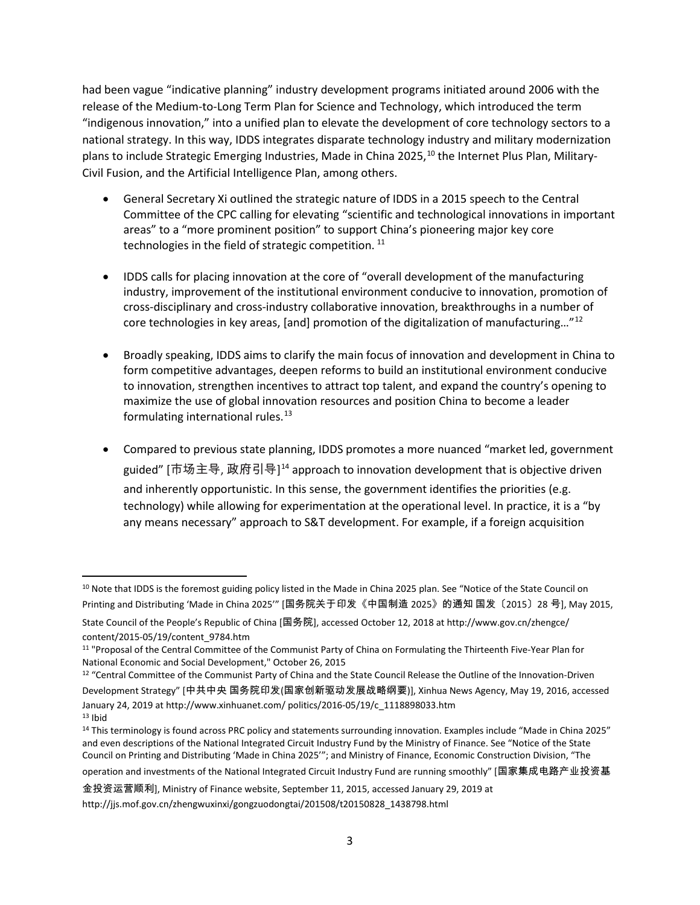had been vague "indicative planning" industry development programs initiated around 2006 with the release of the Medium-to-Long Term Plan for Science and Technology, which introduced the term "indigenous innovation," into a unified plan to elevate the development of core technology sectors to a national strategy. In this way, IDDS integrates disparate technology industry and military modernization plans to include Strategic Emerging Industries, Made in China 2025,<sup>[10](#page-2-0)</sup> the Internet Plus Plan, Military-Civil Fusion, and the Artificial Intelligence Plan, among others.

- General Secretary Xi outlined the strategic nature of IDDS in a 2015 speech to the Central Committee of the CPC calling for elevating "scientific and technological innovations in important areas" to a "more prominent position" to support China's pioneering major key core technologies in the field of strategic competition.<sup>[11](#page-2-1)</sup>
- IDDS calls for placing innovation at the core of "overall development of the manufacturing industry, improvement of the institutional environment conducive to innovation, promotion of cross-disciplinary and cross-industry collaborative innovation, breakthroughs in a number of core technologies in key areas, [and] promotion of the digitalization of manufacturing…"[12](#page-2-2)
- Broadly speaking, IDDS aims to clarify the main focus of innovation and development in China to form competitive advantages, deepen reforms to build an institutional environment conducive to innovation, strengthen incentives to attract top talent, and expand the country's opening to maximize the use of global innovation resources and position China to become a leader formulating international rules. $13$
- Compared to previous state planning, IDDS promotes a more nuanced "market led, government guided" [市场主导, 政府引导] $^{\rm 14}$  $^{\rm 14}$  $^{\rm 14}$  approach to innovation development that is objective driven and inherently opportunistic. In this sense, the government identifies the priorities (e.g. technology) while allowing for experimentation at the operational level. In practice, it is a "by any means necessary" approach to S&T development. For example, if a foreign acquisition

<span id="page-2-0"></span><sup>&</sup>lt;sup>10</sup> Note that IDDS is the foremost guiding policy listed in the Made in China 2025 plan. See "Notice of the State Council on Printing and Distributing 'Made in China 2025'" [国务院关于印发《中国制造 2025》的通知 国发〔2015〕28 号], May 2015,

State Council of the People's Republic of China [国务院], accessed October 12, 2018 at http://www.gov.cn/zhengce/ content/2015-05/19/content\_9784.htm<br><sup>11</sup> "Proposal of the Central Committee of the Communist Party of China on Formulating the Thirteenth Five-Year Plan for

<span id="page-2-1"></span>National Economic and Social Development," October 26, 2015

<span id="page-2-2"></span><sup>&</sup>lt;sup>12</sup> "Central Committee of the Communist Party of China and the State Council Release the Outline of the Innovation-Driven Development Strategy" [中共中央 国务院印发(国家创新驱动发展战略纲要)], Xinhua News Agency, May 19, 2016, accessed January 24, 2019 at http://www.xinhuanet.com/ politics/2016-05/19/c\_1118898033.htm  $13$  Ibid

<span id="page-2-4"></span><span id="page-2-3"></span><sup>&</sup>lt;sup>14</sup> This terminology is found across PRC policy and statements surrounding innovation. Examples include "Made in China 2025" and even descriptions of the National Integrated Circuit Industry Fund by the Ministry of Finance. See "Notice of the State Council on Printing and Distributing 'Made in China 2025'"; and Ministry of Finance, Economic Construction Division, "The operation and investments of the National Integrated Circuit Industry Fund are running smoothly" [国家集成电路产业投资基

金投资运营顺利], Ministry of Finance website, September 11, 2015, accessed January 29, 2019 at http://jjs.mof.gov.cn/zhengwuxinxi/gongzuodongtai/201508/t20150828\_1438798.html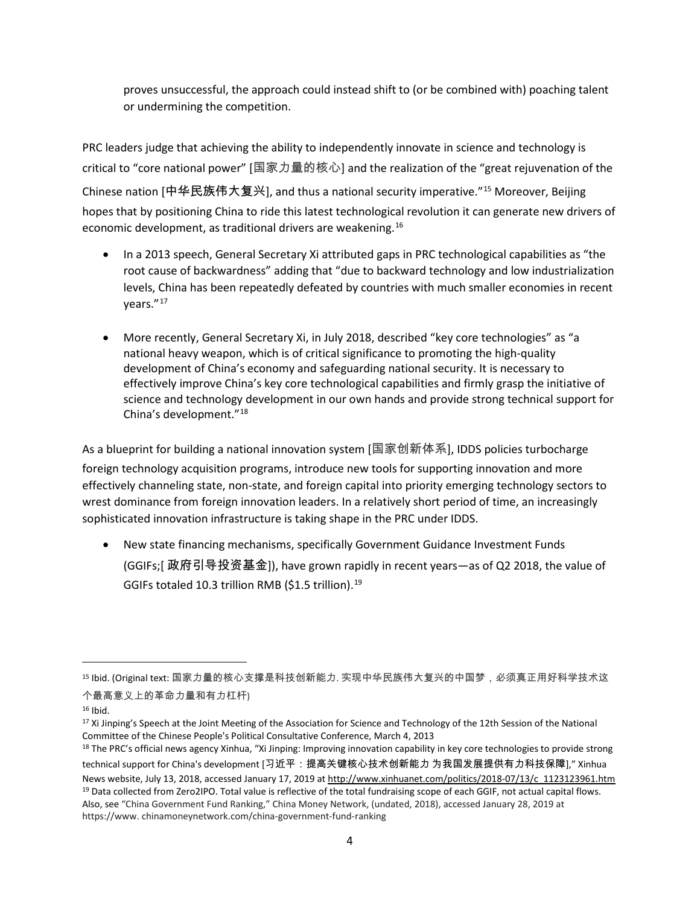proves unsuccessful, the approach could instead shift to (or be combined with) poaching talent or undermining the competition.

PRC leaders judge that achieving the ability to independently innovate in science and technology is critical to "core national power" [国家力量的核心] and the realization of the "great rejuvenation of the Chinese nation [中华民族伟大复兴], and thus a national security imperative."[15](#page-3-0) Moreover, Beijing hopes that by positioning China to ride this latest technological revolution it can generate new drivers of economic development, as traditional drivers are weakening.<sup>[16](#page-3-1)</sup>

- In a 2013 speech, General Secretary Xi attributed gaps in PRC technological capabilities as "the root cause of backwardness" adding that "due to backward technology and low industrialization levels, China has been repeatedly defeated by countries with much smaller economies in recent years."[17](#page-3-2)
- More recently, General Secretary Xi, in July 2018, described "key core technologies" as "a national heavy weapon, which is of critical significance to promoting the high-quality development of China's economy and safeguarding national security. It is necessary to effectively improve China's key core technological capabilities and firmly grasp the initiative of science and technology development in our own hands and provide strong technical support for China's development."[18](#page-3-3)

As a blueprint for building a national innovation system [国家创新体系], IDDS policies turbocharge foreign technology acquisition programs, introduce new tools for supporting innovation and more effectively channeling state, non-state, and foreign capital into priority emerging technology sectors to wrest dominance from foreign innovation leaders. In a relatively short period of time, an increasingly sophisticated innovation infrastructure is taking shape in the PRC under IDDS.

• New state financing mechanisms, specifically Government Guidance Investment Funds (GGIFs;[ 政府引导投资基金]), have grown rapidly in recent years—as of Q2 2018, the value of GGIFs totaled 10.3 trillion RMB (\$1.5 trillion).[19](#page-3-4)

l

<span id="page-3-0"></span><sup>15</sup> Ibid. (Original text: 国家力量的核心支撑是科技创新能力. 实现中华民族伟大复兴的中国梦,必须真正用好科学技术这 个最高意义上的革命力量和有力杠杆)

<span id="page-3-1"></span> $16$  Ibid.

<span id="page-3-2"></span><sup>&</sup>lt;sup>17</sup> Xi Jinping's Speech at the Joint Meeting of the Association for Science and Technology of the 12th Session of the National Committee of the Chinese People's Political Consultative Conference, March 4, 2013

<span id="page-3-4"></span><span id="page-3-3"></span><sup>&</sup>lt;sup>18</sup> The PRC's official news agency Xinhua, "Xi Jinping: Improving innovation capability in key core technologies to provide strong technical support for China's development [习近平:提高关键核心技术创新能力 为我国发展提供有力科技保障]," Xinhua News website, July 13, 2018, accessed January 17, 2019 at [http://www.xinhuanet.com/politics/2018-07/13/c\\_1123123961.htm](http://www.xinhuanet.com/politics/2018-07/13/c_1123123961.htm) <sup>19</sup> Data collected from Zero2IPO. Total value is reflective of the total fundraising scope of each GGIF, not actual capital flows. Also, see "China Government Fund Ranking," China Money Network, (undated, 2018), accessed January 28, 2019 at https://www. chinamoneynetwork.com/china-government-fund-ranking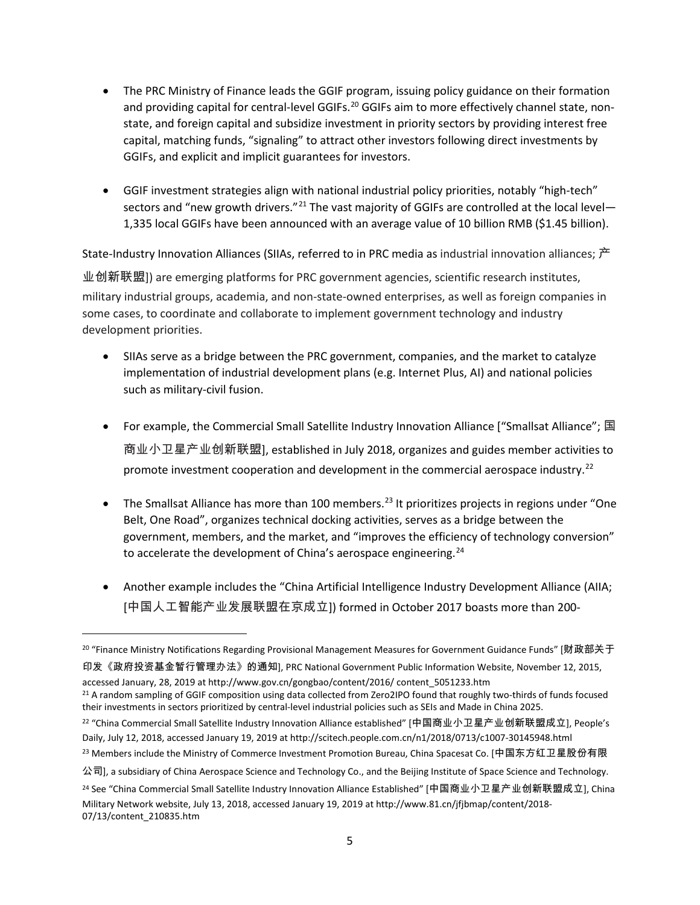- The PRC Ministry of Finance leads the GGIF program, issuing policy guidance on their formation and providing capital for central-level GGIFs.<sup>[20](#page-4-0)</sup> GGIFs aim to more effectively channel state, nonstate, and foreign capital and subsidize investment in priority sectors by providing interest free capital, matching funds, "signaling" to attract other investors following direct investments by GGIFs, and explicit and implicit guarantees for investors.
- GGIF investment strategies align with national industrial policy priorities, notably "high-tech" sectors and "new growth drivers."<sup>[21](#page-4-1)</sup> The vast majority of GGIFs are controlled at the local level-1,335 local GGIFs have been announced with an average value of 10 billion RMB (\$1.45 billion).

State-Industry Innovation Alliances (SIIAs, referred to in PRC media as industrial innovation alliances; 产 业创新联盟]) are emerging platforms for PRC government agencies, scientific research institutes, military industrial groups, academia, and non-state-owned enterprises, as well as foreign companies in some cases, to coordinate and collaborate to implement government technology and industry development priorities.

- SIIAs serve as a bridge between the PRC government, companies, and the market to catalyze implementation of industrial development plans (e.g. Internet Plus, AI) and national policies such as military-civil fusion.
- For example, the Commercial Small Satellite Industry Innovation Alliance ["Smallsat Alliance"; 国 商业小卫星产业创新联盟], established in July 2018, organizes and guides member activities to promote investment cooperation and development in the commercial aerospace industry.<sup>[22](#page-4-2)</sup>
- The Smallsat Alliance has more than 100 members.<sup>[23](#page-4-3)</sup> It prioritizes projects in regions under "One Belt, One Road", organizes technical docking activities, serves as a bridge between the government, members, and the market, and "improves the efficiency of technology conversion" to accelerate the development of China's aerospace engineering.<sup>[24](#page-4-4)</sup>
- Another example includes the "China Artificial Intelligence Industry Development Alliance (AIIA; [中国人工智能产业发展联盟在京成立]) formed in October 2017 boasts more than 200-

印发《政府投资基金暂行管理办法》的通知], PRC National Government Public Information Website, November 12, 2015, accessed January, 28, 2019 at http://www.gov.cn/gongbao/content/2016/ content\_5051233.htm

l

- <span id="page-4-2"></span><sup>22</sup> "China Commercial Small Satellite Industry Innovation Alliance established" [中国商业小卫星产业创新联盟成立], People's Daily, July 12, 2018, accessed January 19, 2019 at http://scitech.people.com.cn/n1/2018/0713/c1007-30145948.html
- <span id="page-4-3"></span><sup>23</sup> Members include the Ministry of Commerce Investment Promotion Bureau, China Spacesat Co. [中国东方红卫星股份有限

<span id="page-4-0"></span><sup>&</sup>lt;sup>20</sup> "Finance Ministry Notifications Regarding Provisional Management Measures for Government Guidance Funds" [财政部关于

<span id="page-4-1"></span><sup>&</sup>lt;sup>21</sup> A random sampling of GGIF composition using data collected from Zero2IPO found that roughly two-thirds of funds focused their investments in sectors prioritized by central-level industrial policies such as SEIs and Made in China 2025.

公司], a subsidiary of China Aerospace Science and Technology Co., and the Beijing Institute of Space Science and Technology.

<span id="page-4-4"></span><sup>&</sup>lt;sup>24</sup> See "China Commercial Small Satellite Industry Innovation Alliance Established" [中国商业小卫星产业创新联盟成立], China Military Network website, July 13, 2018, accessed January 19, 2019 at http://www.81.cn/jfjbmap/content/2018- 07/13/content\_210835.htm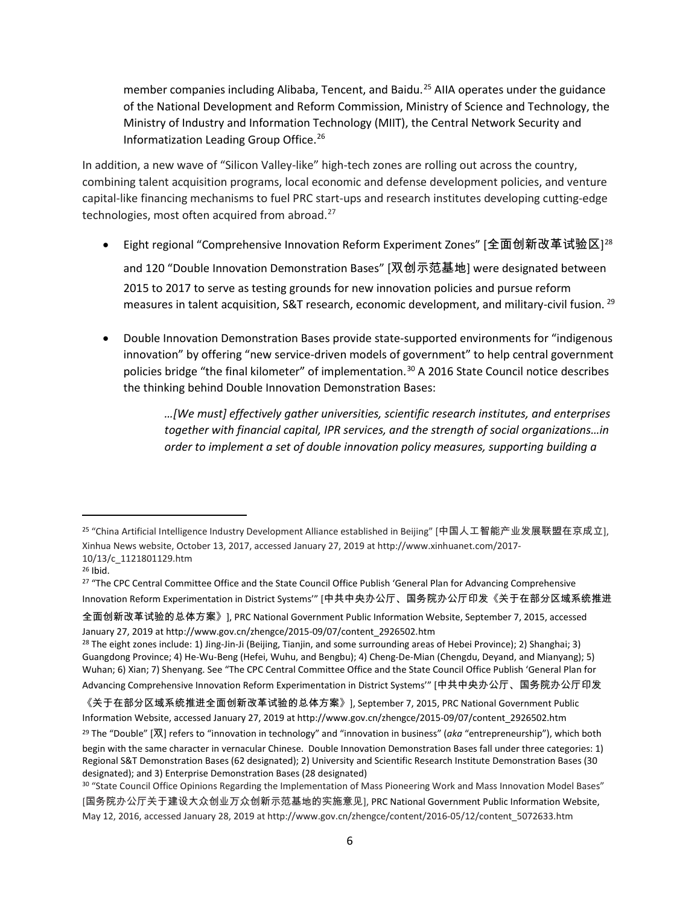member companies including Alibaba, Tencent, and Baidu. [25](#page-5-0) AIIA operates under the guidance of the National Development and Reform Commission, Ministry of Science and Technology, the Ministry of Industry and Information Technology (MIIT), the Central Network Security and Informatization Leading Group Office. [26](#page-5-1)

In addition, a new wave of "Silicon Valley-like" high-tech zones are rolling out across the country, combining talent acquisition programs, local economic and defense development policies, and venture capital-like financing mechanisms to fuel PRC start-ups and research institutes developing cutting-edge technologies, most often acquired from abroad.<sup>[27](#page-5-2)</sup>

- Eight regional "Comprehensive Innovation Reform Experiment Zones" [全面创新改革试验区] $^{28}$  $^{28}$  $^{28}$ and 120 "Double Innovation Demonstration Bases" [双创示范基地] were designated between 2015 to 2017 to serve as testing grounds for new innovation policies and pursue reform measures in talent acquisition, S&T research, economic development, and military-civil fusion. [29](#page-5-4)
- Double Innovation Demonstration Bases provide state-supported environments for "indigenous innovation" by offering "new service-driven models of government" to help central government policies bridge "the final kilometer" of implementation.<sup>[30](#page-5-5)</sup> A 2016 State Council notice describes the thinking behind Double Innovation Demonstration Bases:

*…[We must] effectively gather universities, scientific research institutes, and enterprises together with financial capital, IPR services, and the strength of social organizations…in order to implement a set of double innovation policy measures, supporting building a* 

l

全面创新改革试验的总体方案》], PRC National Government Public Information Website, September 7, 2015, accessed January 27, 2019 at http://www.gov.cn/zhengce/2015-09/07/content\_2926502.htm

<span id="page-5-0"></span><sup>25</sup> "China Artificial Intelligence Industry Development Alliance established in Beijing" [中国人工智能产业发展联盟在京成立], Xinhua News website, October 13, 2017, accessed January 27, 2019 at http://www.xinhuanet.com/2017- 10/13/c\_1121801129.htm

<span id="page-5-1"></span><sup>26</sup> Ibid.

<span id="page-5-2"></span><sup>&</sup>lt;sup>27</sup> "The CPC Central Committee Office and the State Council Office Publish 'General Plan for Advancing Comprehensive Innovation Reform Experimentation in District Systems'" [中共中央办公厅、国务院办公厅印发《关于在部分区域系统推进

<span id="page-5-3"></span><sup>&</sup>lt;sup>28</sup> The eight zones include: 1) Jing-Jin-Ji (Beijing, Tianjin, and some surrounding areas of Hebei Province); 2) Shanghai; 3) Guangdong Province; 4) He-Wu-Beng (Hefei, Wuhu, and Bengbu); 4) Cheng-De-Mian (Chengdu, Deyand, and Mianyang); 5) Wuhan; 6) Xian; 7) Shenyang. See "The CPC Central Committee Office and the State Council Office Publish 'General Plan for Advancing Comprehensive Innovation Reform Experimentation in District Systems'" [中共中央办公厅、国务院办公厅印发

<span id="page-5-4"></span><sup>《</sup>关于在部分区域系统推进全面创新改革试验的总体方案》], September 7, 2015, PRC National Government Public Information Website, accessed January 27, 2019 at http://www.gov.cn/zhengce/2015-09/07/content\_2926502.htm <sup>29</sup> The "Double" [双] refers to "innovation in technology" and "innovation in business" (*aka* "entrepreneurship"), which both begin with the same character in vernacular Chinese. Double Innovation Demonstration Bases fall under three categories: 1) Regional S&T Demonstration Bases (62 designated); 2) University and Scientific Research Institute Demonstration Bases (30 designated); and 3) Enterprise Demonstration Bases (28 designated)

<span id="page-5-5"></span><sup>30 &</sup>quot;State Council Office Opinions Regarding the Implementation of Mass Pioneering Work and Mass Innovation Model Bases" [国务院办公厅关于建设大众创业万众创新示范基地的实施意见], PRC National Government Public Information Website, May 12, 2016, accessed January 28, 2019 at http://www.gov.cn/zhengce/content/2016-05/12/content\_5072633.htm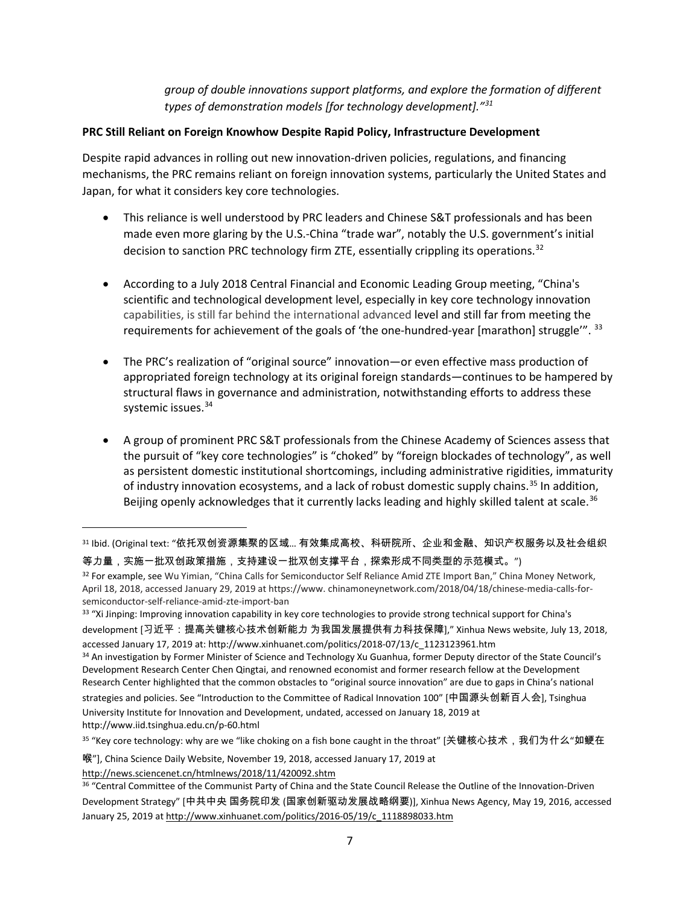*group of double innovations support platforms, and explore the formation of different types of demonstration models [for technology development].["31](#page-6-0)*

### **PRC Still Reliant on Foreign Knowhow Despite Rapid Policy, Infrastructure Development**

Despite rapid advances in rolling out new innovation-driven policies, regulations, and financing mechanisms, the PRC remains reliant on foreign innovation systems, particularly the United States and Japan, for what it considers key core technologies.

- This reliance is well understood by PRC leaders and Chinese S&T professionals and has been made even more glaring by the U.S.-China "trade war", notably the U.S. government's initial decision to sanction PRC technology firm ZTE, essentially crippling its operations.<sup>[32](#page-6-1)</sup>
- According to a July 2018 Central Financial and Economic Leading Group meeting, "China's scientific and technological development level, especially in key core technology innovation capabilities, is still far behind the international advanced level and still far from meeting the requirements for achievement of the goals of 'the one-hundred-year [marathon] struggle". [33](#page-6-2)
- The PRC's realization of "original source" innovation—or even effective mass production of appropriated foreign technology at its original foreign standards—continues to be hampered by structural flaws in governance and administration, notwithstanding efforts to address these systemic issues.<sup>[34](#page-6-3)</sup>
- A group of prominent PRC S&T professionals from the Chinese Academy of Sciences assess that the pursuit of "key core technologies" is "choked" by "foreign blockades of technology", as well as persistent domestic institutional shortcomings, including administrative rigidities, immaturity of industry innovation ecosystems, and a lack of robust domestic supply chains.<sup>[35](#page-6-4)</sup> In addition, Beijing openly acknowledges that it currently lacks leading and highly skilled talent at scale.<sup>[36](#page-6-5)</sup>

<http://news.sciencenet.cn/htmlnews/2018/11/420092.shtm>

l

<span id="page-6-0"></span><sup>31</sup> Ibid. (Original text: "依托双创资源集聚的区域... 有效集成高校、科研院所、企业和金融、知识产权服务以及社会组织 等力量,实施一批双创政策措施,支持建设一批双创支撑平台,探索形成不同类型的示范模式。")

<span id="page-6-1"></span><sup>&</sup>lt;sup>32</sup> For example, see Wu Yimian, "China Calls for Semiconductor Self Reliance Amid ZTE Import Ban," China Money Network, April 18, 2018, accessed January 29, 2019 at https://www. chinamoneynetwork.com/2018/04/18/chinese-media-calls-forsemiconductor-self-reliance-amid-zte-import-ban

<span id="page-6-2"></span><sup>&</sup>lt;sup>33</sup> "Xi Jinping: Improving innovation capability in key core technologies to provide strong technical support for China's development [习近平:提高关键核心技术创新能力 为我国发展提供有力科技保障]," Xinhua News website, July 13, 2018,

<span id="page-6-3"></span>accessed January 17, 2019 at[: http://www.xinhuanet.com/politics/2018-07/13/c\\_1123123961.htm](http://www.xinhuanet.com/politics/2018-07/13/c_1123123961.htm) 34 An investigation by Former Minister of Science and Technology Xu Guanhua, former Deputy director of the State Council's Development Research Center Chen Qingtai, and renowned economist and former research fellow at the Development Research Center highlighted that the common obstacles to "original source innovation" are due to gaps in China's national strategies and policies. See "Introduction to the Committee of Radical Innovation 100" [中国源头创新百人会], Tsinghua University Institute for Innovation and Development, undated, accessed on January 18, 2019 at http://www.iid.tsinghua.edu.cn/p-60.html

<span id="page-6-4"></span><sup>&</sup>lt;sup>35</sup> "Key core technology: why are we "like choking on a fish bone caught in the throat" [关键核心技术,我们为什么"如鲠在

喉"], China Science Daily Website, November 19, 2018, accessed January 17, 2019 at

<span id="page-6-5"></span><sup>36 &</sup>quot;Central Committee of the Communist Party of China and the State Council Release the Outline of the Innovation-Driven Development Strategy" [中共中央 国务院印发 (国家创新驱动发展战略纲要)], Xinhua News Agency, May 19, 2016, accessed January 25, 2019 at http://www.xinhuanet.com/politics/2016-05/19/c\_1118898033.htm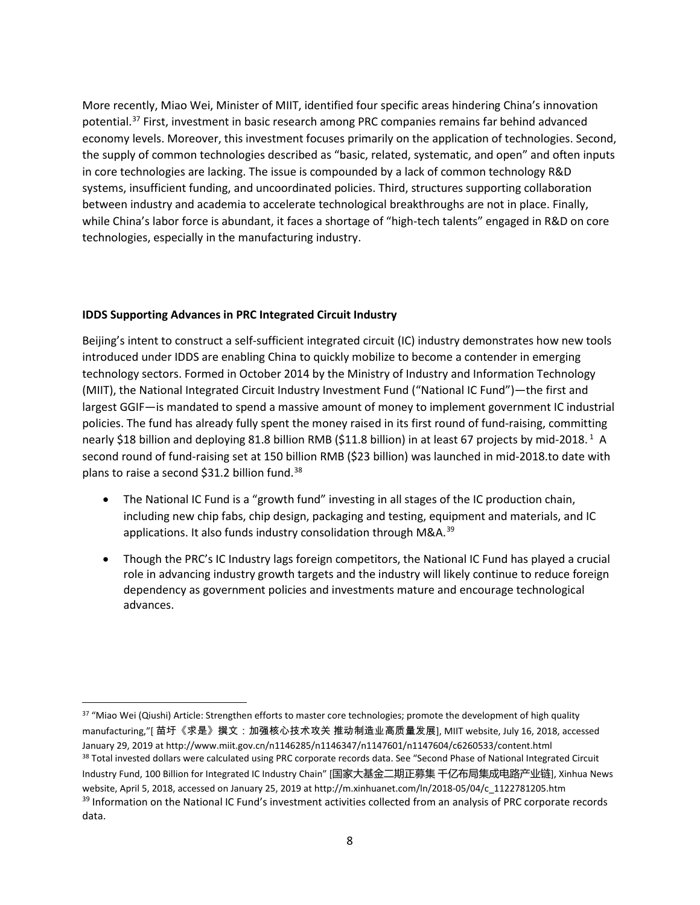More recently, Miao Wei, Minister of MIIT, identified four specific areas hindering China's innovation potential. [37](#page-7-0) First, investment in basic research among PRC companies remains far behind advanced economy levels. Moreover, this investment focuses primarily on the application of technologies. Second, the supply of common technologies described as "basic, related, systematic, and open" and often inputs in core technologies are lacking. The issue is compounded by a lack of common technology R&D systems, insufficient funding, and uncoordinated policies. Third, structures supporting collaboration between industry and academia to accelerate technological breakthroughs are not in place. Finally, while China's labor force is abundant, it faces a shortage of "high-tech talents" engaged in R&D on core technologies, especially in the manufacturing industry.

#### **IDDS Supporting Advances in PRC Integrated Circuit Industry**

Beijing's intent to construct a self-sufficient integrated circuit (IC) industry demonstrates how new tools introduced under IDDS are enabling China to quickly mobilize to become a contender in emerging technology sectors. Formed in October 2014 by the Ministry of Industry and Information Technology (MIIT), the National Integrated Circuit Industry Investment Fund ("National IC Fund")—the first and largest GGIF—is mandated to spend a massive amount of money to implement government IC industrial policies. The fund has already fully spent the money raised in its first round of fund-raising, committing nearly \$18 billion and deploying 81.8 billion RMB (\$11.8 billion) in at least 67 projects by mid-2018.<sup>1</sup> A second round of fund-raising set at 150 billion RMB (\$23 billion) was launched in mid-2018.to date with plans to raise a second \$31.2 billion fund.<sup>[38](#page-7-1)</sup>

- The National IC Fund is a "growth fund" investing in all stages of the IC production chain, including new chip fabs, chip design, packaging and testing, equipment and materials, and IC applications. It also funds industry consolidation through M&A.<sup>[39](#page-7-2)</sup>
- Though the PRC's IC Industry lags foreign competitors, the National IC Fund has played a crucial role in advancing industry growth targets and the industry will likely continue to reduce foreign dependency as government policies and investments mature and encourage technological advances.

<span id="page-7-2"></span><span id="page-7-1"></span><span id="page-7-0"></span><sup>37 &</sup>quot;Miao Wei (Qiushi) Article: Strengthen efforts to master core technologies; promote the development of high quality manufacturing,"[ 苗圩《求是》撰文:加强核心技术攻关 推动制造业高质量发展], MIIT website, July 16, 2018, accessed January 29, 2019 at http://www.miit.gov.cn/n1146285/n1146347/n1147601/n1147604/c6260533/content.html <sup>38</sup> Total invested dollars were calculated using PRC corporate records data. See "Second Phase of National Integrated Circuit Industry Fund, 100 Billion for Integrated IC Industry Chain" [国家大基金二期正募集 千亿布局集成电路产业链], Xinhua News website, April 5, 2018, accessed on January 25, 2019 at http://m.xinhuanet.com/ln/2018-05/04/c\_1122781205.htm <sup>39</sup> Information on the National IC Fund's investment activities collected from an analysis of PRC corporate records data.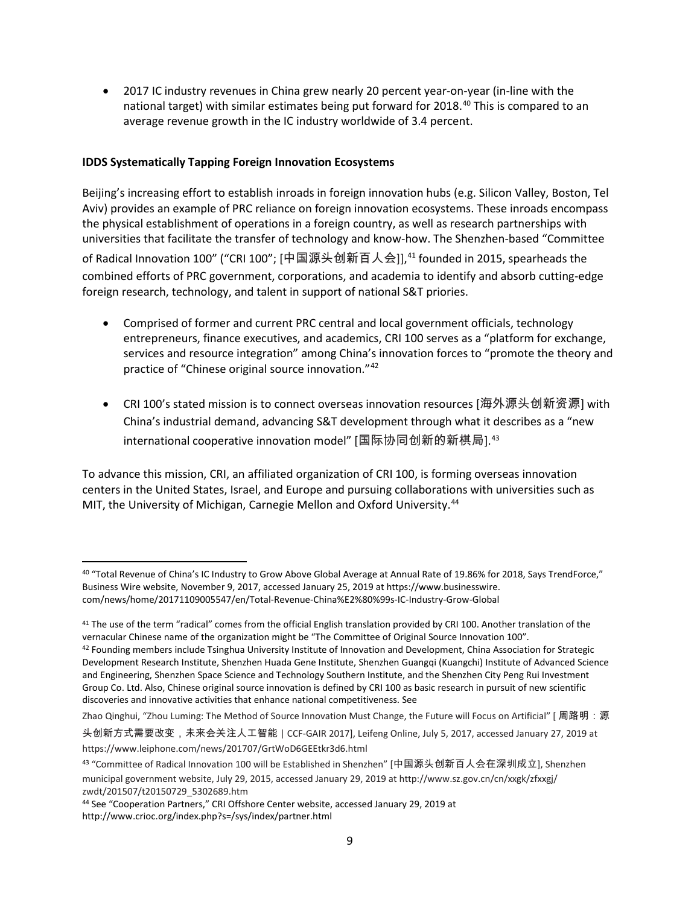• 2017 IC industry revenues in China grew nearly 20 percent year-on-year (in-line with the national target) with similar estimates being put forward for 2018.<sup>[40](#page-8-0)</sup> This is compared to an average revenue growth in the IC industry worldwide of 3.4 percent.

#### **IDDS Systematically Tapping Foreign Innovation Ecosystems**

Beijing's increasing effort to establish inroads in foreign innovation hubs (e.g. Silicon Valley, Boston, Tel Aviv) provides an example of PRC reliance on foreign innovation ecosystems. These inroads encompass the physical establishment of operations in a foreign country, as well as research partnerships with universities that facilitate the transfer of technology and know-how. The Shenzhen-based "Committee of Radical Innovation 100" ("CRI 100"; [中国源头创新百人会]],<sup>[41](#page-8-1)</sup> founded in 2015, spearheads the combined efforts of PRC government, corporations, and academia to identify and absorb cutting-edge foreign research, technology, and talent in support of national S&T priories.

- Comprised of former and current PRC central and local government officials, technology entrepreneurs, finance executives, and academics, CRI 100 serves as a "platform for exchange, services and resource integration" among China's innovation forces to "promote the theory and practice of "Chinese original source innovation."[42](#page-8-2)
- CRI 100's stated mission is to connect overseas innovation resources [海外源头创新资源] with China's industrial demand, advancing S&T development through what it describes as a "new international cooperative innovation model" [国际协同创新的新棋局].<sup>[43](#page-8-3)</sup>

To advance this mission, CRI, an affiliated organization of CRI 100, is forming overseas innovation centers in the United States, Israel, and Europe and pursuing collaborations with universities such as MIT, the University of Michigan, Carnegie Mellon and Oxford University.<sup>[44](#page-8-4)</sup>

头创新方式需要改变,未来会关注人工智能 | CCF-GAIR 2017], Leifeng Online, July 5, 2017, accessed January 27, 2019 at https://www.leiphone.com/news/201707/GrtWoD6GEEtkr3d6.html

<span id="page-8-0"></span> <sup>40</sup> "Total Revenue of China's IC Industry to Grow Above Global Average at Annual Rate of 19.86% for 2018, Says TrendForce," Business Wire website, November 9, 2017, accessed January 25, 2019 at https://www.businesswire. com/news/home/20171109005547/en/Total-Revenue-China%E2%80%99s-IC-Industry-Grow-Global

<span id="page-8-1"></span><sup>&</sup>lt;sup>41</sup> The use of the term "radical" comes from the official English translation provided by CRI 100. Another translation of the vernacular Chinese name of the organization might be "The Committee of Original Source Innovation 100".

<span id="page-8-2"></span><sup>42</sup> Founding members include Tsinghua University Institute of Innovation and Development, China Association for Strategic Development Research Institute, Shenzhen Huada Gene Institute, Shenzhen Guangqi (Kuangchi) Institute of Advanced Science and Engineering, Shenzhen Space Science and Technology Southern Institute, and the Shenzhen City Peng Rui Investment Group Co. Ltd. Also, Chinese original source innovation is defined by CRI 100 as basic research in pursuit of new scientific discoveries and innovative activities that enhance national competitiveness. See

Zhao Qinghui, "Zhou Luming: The Method of Source Innovation Must Change, the Future will Focus on Artificial" [周路明:源

<span id="page-8-3"></span><sup>43</sup> "Committee of Radical Innovation 100 will be Established in Shenzhen" [中国源头创新百人会在深圳成立], Shenzhen municipal government website, July 29, 2015, accessed January 29, 2019 at http://www.sz.gov.cn/cn/xxgk/zfxxgj/ zwdt/201507/t20150729\_5302689.htm<br><sup>44</sup> See "Cooperation Partners," CRI Offshore Center website, accessed January 29, 2019 at

<span id="page-8-4"></span>http://www.crioc.org/index.php?s=/sys/index/partner.html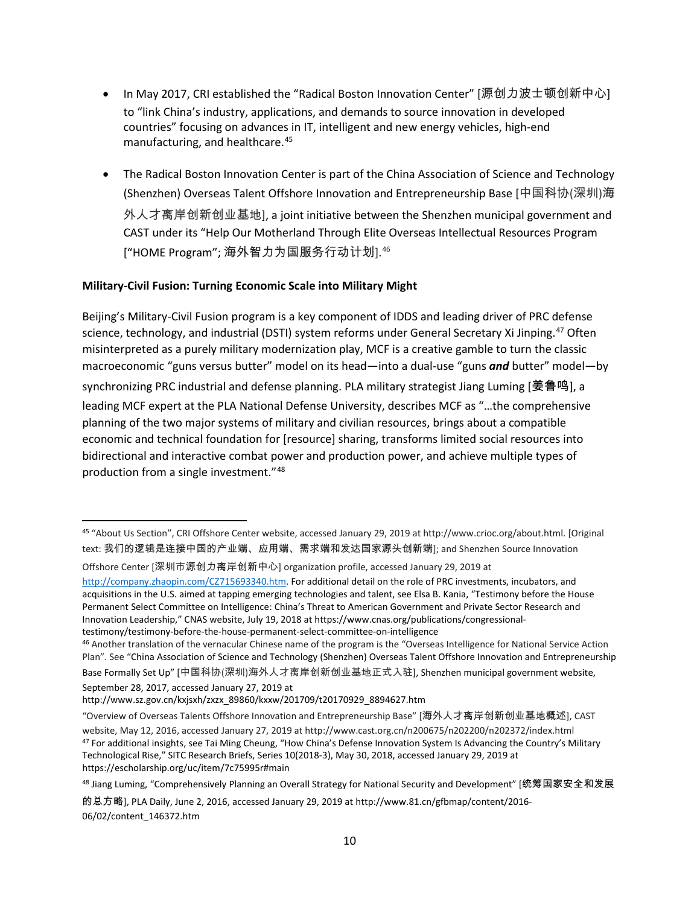- In May 2017, CRI established the "Radical Boston Innovation Center" [源创力波士顿创新中心] to "link China's industry, applications, and demands to source innovation in developed countries" focusing on advances in IT, intelligent and new energy vehicles, high-end manufacturing, and healthcare.[45](#page-9-0)
- The Radical Boston Innovation Center is part of the China Association of Science and Technology (Shenzhen) Overseas Talent Offshore Innovation and Entrepreneurship Base [中国科协(深圳)海 外人才离岸创新创业基地], a joint initiative between the Shenzhen municipal government and CAST under its "Help Our Motherland Through Elite Overseas Intellectual Resources Program ["HOME Program"; 海外智力为国服务行动计划].[46](#page-9-1)

# **Military-Civil Fusion: Turning Economic Scale into Military Might**

Beijing's Military-Civil Fusion program is a key component of IDDS and leading driver of PRC defense science, technology, and industrial (DSTI) system reforms under General Secretary Xi Jinping.<sup>[47](#page-9-2)</sup> Often misinterpreted as a purely military modernization play, MCF is a creative gamble to turn the classic macroeconomic "guns versus butter" model on its head—into a dual-use "guns *and* butter" model—by synchronizing PRC industrial and defense planning. PLA military strategist Jiang Luming [姜鲁鸣], a leading MCF expert at the PLA National Defense University, describes MCF as "…the comprehensive planning of the two major systems of military and civilian resources, brings about a compatible economic and technical foundation for [resource] sharing, transforms limited social resources into bidirectional and interactive combat power and production power, and achieve multiple types of production from a single investment."[48](#page-9-3)

Offshore Center [深圳市源创力离岸创新中心] organization profile, accessed January 29, 2019 at

[http://company.zhaopin.com/CZ715693340.htm.](http://company.zhaopin.com/CZ715693340.htm) For additional detail on the role of PRC investments, incubators, and acquisitions in the U.S. aimed at tapping emerging technologies and talent, see Elsa B. Kania, "Testimony before the House Permanent Select Committee on Intelligence: China's Threat to American Government and Private Sector Research and Innovation Leadership," CNAS website, July 19, 2018 at https://www.cnas.org/publications/congressionaltestimony/testimony-before-the-house-permanent-select-committee-on-intelligence

<span id="page-9-0"></span> <sup>45</sup> "About Us Section", CRI Offshore Center website, accessed January 29, 2019 at http://www.crioc.org/about.html. [Original text: 我们的逻辑是连接中国的产业端、应用端、需求端和发达国家源头创新端]; and Shenzhen Source Innovation

<span id="page-9-1"></span><sup>46</sup> Another translation of the vernacular Chinese name of the program is the "Overseas Intelligence for National Service Action Plan". See "China Association of Science and Technology (Shenzhen) Overseas Talent Offshore Innovation and Entrepreneurship Base Formally Set Up" [中国科协(深圳)海外人才离岸创新创业基地正式入驻], Shenzhen municipal government website, September 28, 2017, accessed January 27, 2019 at

http://www.sz.gov.cn/kxjsxh/zxzx\_89860/kxxw/201709/t20170929\_8894627.htm

<span id="page-9-2"></span><sup>&</sup>quot;Overview of Overseas Talents Offshore Innovation and Entrepreneurship Base" [海外人才离岸创新创业基地概述], CAST website, May 12, 2016, accessed January 27, 2019 at http://www.cast.org.cn/n200675/n202200/n202372/index.html <sup>47</sup> For additional insights, see Tai Ming Cheung, "How China's Defense Innovation System Is Advancing the Country's Military Technological Rise," SITC Research Briefs, Series 10(2018-3), May 30, 2018, accessed January 29, 2019 at https://escholarship.org/uc/item/7c75995r#main

<span id="page-9-3"></span><sup>48</sup> Jiang Luming, "Comprehensively Planning an Overall Strategy for National Security and Development" [统筹国家安全和发展

的总方略], PLA Daily, June 2, 2016, accessed January 29, 2019 at http://www.81.cn/gfbmap/content/2016- 06/02/content\_146372.htm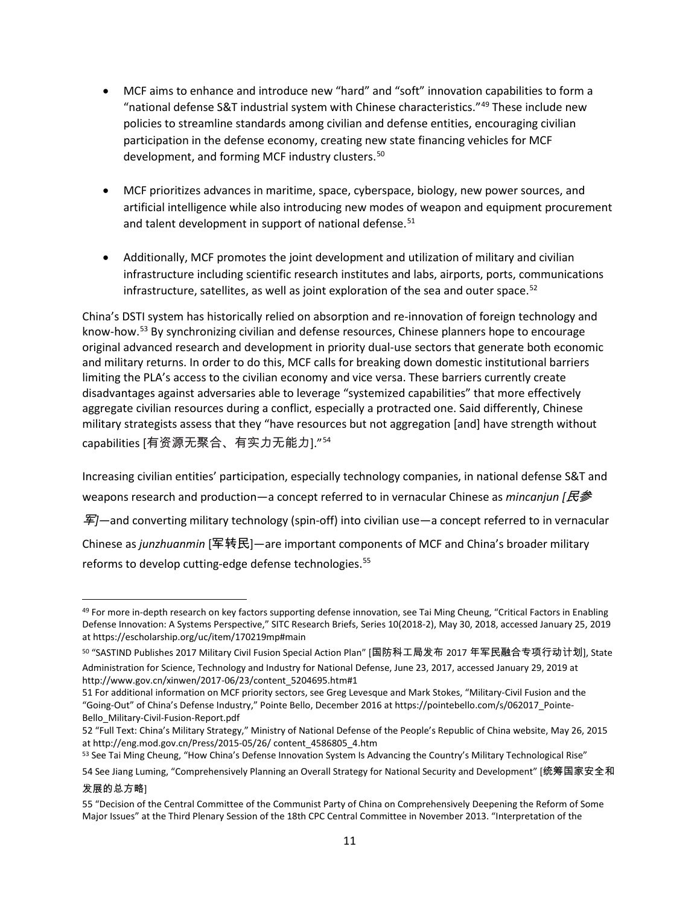- MCF aims to enhance and introduce new "hard" and "soft" innovation capabilities to form a "national defense S&T industrial system with Chinese characteristics."[49](#page-10-0) These include new policies to streamline standards among civilian and defense entities, encouraging civilian participation in the defense economy, creating new state financing vehicles for MCF development, and forming MCF industry clusters.<sup>[50](#page-10-1)</sup>
- MCF prioritizes advances in maritime, space, cyberspace, biology, new power sources, and artificial intelligence while also introducing new modes of weapon and equipment procurement and talent development in support of national defense.<sup>[51](#page-10-2)</sup>
- Additionally, MCF promotes the joint development and utilization of military and civilian infrastructure including scientific research institutes and labs, airports, ports, communications infrastructure, satellites, as well as joint exploration of the sea and outer space. $52$

China's DSTI system has historically relied on absorption and re-innovation of foreign technology and know-how.<sup>[53](#page-10-4)</sup> By synchronizing civilian and defense resources, Chinese planners hope to encourage original advanced research and development in priority dual-use sectors that generate both economic and military returns. In order to do this, MCF calls for breaking down domestic institutional barriers limiting the PLA's access to the civilian economy and vice versa. These barriers currently create disadvantages against adversaries able to leverage "systemized capabilities" that more effectively aggregate civilian resources during a conflict, especially a protracted one. Said differently, Chinese military strategists assess that they "have resources but not aggregation [and] have strength without capabilities [有资源无聚合、有实力无能力]."[54](#page-10-5)

Increasing civilian entities' participation, especially technology companies, in national defense S&T and weapons research and production—a concept referred to in vernacular Chinese as *mincanjun [*民参 军*]—*and converting military technology (spin-off) into civilian use—a concept referred to in vernacular Chinese as *junzhuanmin* [军转民]—are important components of MCF and China's broader military reforms to develop cutting-edge defense technologies.<sup>[55](#page-10-6)</sup>

<span id="page-10-4"></span>

<span id="page-10-0"></span><sup>49</sup> For more in-depth research on key factors supporting defense innovation, see Tai Ming Cheung, "Critical Factors in Enabling Defense Innovation: A Systems Perspective," SITC Research Briefs, Series 10(2018-2), May 30, 2018, accessed January 25, 2019 at https://escholarship.org/uc/item/170219mp#main

<span id="page-10-1"></span><sup>50</sup> "SASTIND Publishes 2017 Military Civil Fusion Special Action Plan" [国防科工局发布 2017 年军民融合专项行动计划], State Administration for Science, Technology and Industry for National Defense, June 23, 2017, accessed January 29, 2019 at http://www.gov.cn/xinwen/2017-06/23/content\_5204695.htm#1

<span id="page-10-2"></span><sup>51</sup> For additional information on MCF priority sectors, see Greg Levesque and Mark Stokes, "Military-Civil Fusion and the "Going-Out" of China's Defense Industry," Pointe Bello, December 2016 at https://pointebello.com/s/062017\_Pointe-Bello\_Military-Civil-Fusion-Report.pdf

<span id="page-10-3"></span><sup>52</sup> "Full Text: China's Military Strategy," Ministry of National Defense of the People's Republic of China website, May 26, 2015 at http://eng.mod.gov.cn/Press/2015-05/26/ content\_4586805\_4.htm<br><sup>53</sup> See Tai Ming Cheung, "How China's Defense Innovation System Is Advancing the Country's Military Technological Rise"

<span id="page-10-5"></span><sup>54</sup> See Jiang Luming, "Comprehensively Planning an Overall Strategy for National Security and Development" [统筹国家安全和 发展的总方略]

<span id="page-10-6"></span><sup>55</sup> "Decision of the Central Committee of the Communist Party of China on Comprehensively Deepening the Reform of Some Major Issues" at the Third Plenary Session of the 18th CPC Central Committee in November 2013. "Interpretation of the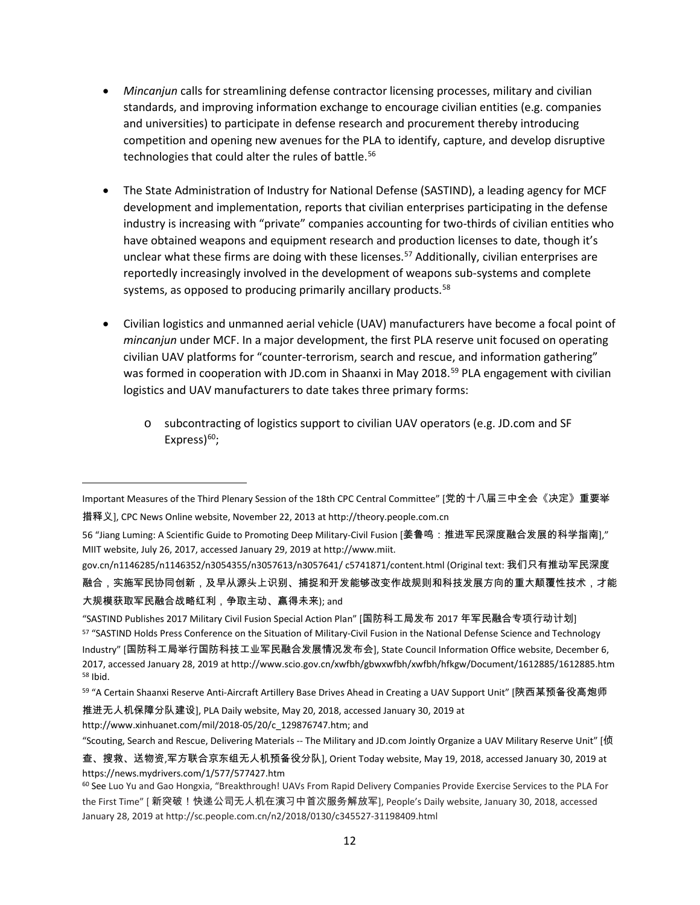- *Mincanjun* calls for streamlining defense contractor licensing processes, military and civilian standards, and improving information exchange to encourage civilian entities (e.g. companies and universities) to participate in defense research and procurement thereby introducing competition and opening new avenues for the PLA to identify, capture, and develop disruptive technologies that could alter the rules of battle.<sup>[56](#page-11-0)</sup>
- The State Administration of Industry for National Defense (SASTIND), a leading agency for MCF development and implementation, reports that civilian enterprises participating in the defense industry is increasing with "private" companies accounting for two-thirds of civilian entities who have obtained weapons and equipment research and production licenses to date, though it's unclear what these firms are doing with these licenses. [57](#page-11-1) Additionally, civilian enterprises are reportedly increasingly involved in the development of weapons sub-systems and complete systems, as opposed to producing primarily ancillary products.<sup>[58](#page-11-2)</sup>
- Civilian logistics and unmanned aerial vehicle (UAV) manufacturers have become a focal point of *mincanjun* under MCF. In a major development, the first PLA reserve unit focused on operating civilian UAV platforms for "counter-terrorism, search and rescue, and information gathering" was formed in cooperation with JD.com in Shaanxi in May 2018.<sup>[59](#page-11-3)</sup> PLA engagement with civilian logistics and UAV manufacturers to date takes three primary forms:
	- o subcontracting of logistics support to civilian UAV operators (e.g. JD.com and SF Express $60$ ;

gov.cn/n1146285/n1146352/n3054355/n3057613/n3057641/ c5741871/content.html (Original text: 我们只有推动军民深度 融合,实施军民协同创新,及早从源头上识别、捕捉和开发能够改变作战规则和科技发展方向的重大颠覆性技术,才能 大规模获取军民融合战略红利,争取主动、赢得未来); and

推进无人机保障分队建设], PLA Daily website, May 20, 2018, accessed January 30, 2019 at

http://www.xinhuanet.com/mil/2018-05/20/c\_129876747.htm; and

 $\overline{\phantom{a}}$ 

"Scouting, Search and Rescue, Delivering Materials -- The Military and JD.com Jointly Organize a UAV Military Reserve Unit" [侦

Important Measures of the Third Plenary Session of the 18th CPC Central Committee" [党的十八届三中全会《决定》重要举 措释义], CPC News Online website, November 22, 2013 at http://theory.people.com.cn

<span id="page-11-0"></span><sup>56</sup> "Jiang Luming: A Scientific Guide to Promoting Deep Military-Civil Fusion [姜鲁鸣:推进军民深度融合发展的科学指南]," MIIT website, July 26, 2017, accessed January 29, 2019 at http://www.miit.

<span id="page-11-1"></span><sup>&</sup>quot;SASTIND Publishes 2017 Military Civil Fusion Special Action Plan" [国防科工局发布 2017 年军民融合专项行动计划] 57 "SASTIND Holds Press Conference on the Situation of Military-Civil Fusion in the National Defense Science and Technology Industry" [国防科工局举行国防科技工业军民融合发展情况发布会], State Council Information Office website, December 6, 2017, accessed January 28, 2019 at http://www.scio.gov.cn/xwfbh/gbwxwfbh/xwfbh/hfkgw/Document/1612885/1612885.htm <sup>58</sup> Ibid.

<span id="page-11-3"></span><span id="page-11-2"></span><sup>59</sup> "A Certain Shaanxi Reserve Anti-Aircraft Artillery Base Drives Ahead in Creating a UAV Support Unit" [陕西某预备役高炮师

查、搜救、送物资,军方联合京东组无人机预备役分队], Orient Today website, May 19, 2018, accessed January 30, 2019 at https://news.mydrivers.com/1/577/577427.htm

<span id="page-11-4"></span><sup>60</sup> See Luo Yu and Gao Hongxia, "Breakthrough! UAVs From Rapid Delivery Companies Provide Exercise Services to the PLA For the First Time" [ 新突破!快递公司无人机在演习中首次服务解放军], People's Daily website, January 30, 2018, accessed January 28, 2019 at http://sc.people.com.cn/n2/2018/0130/c345527-31198409.html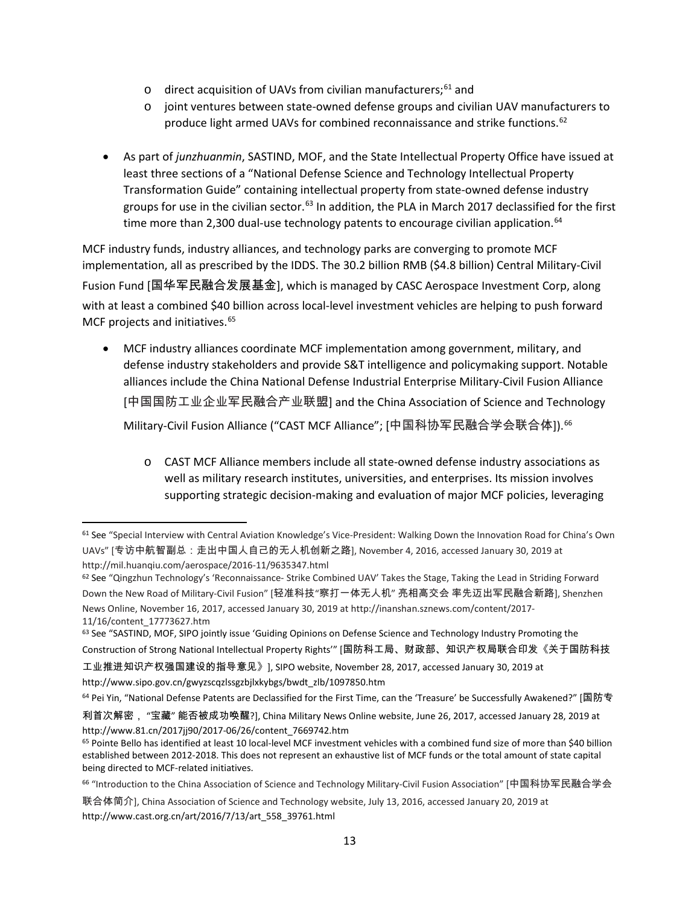- $\circ$  direct acquisition of UAVs from civilian manufacturers:  $61$  and
- o joint ventures between state-owned defense groups and civilian UAV manufacturers to produce light armed UAVs for combined reconnaissance and strike functions.<sup>62</sup>
- As part of *junzhuanmin*, SASTIND, MOF, and the State Intellectual Property Office have issued at least three sections of a "National Defense Science and Technology Intellectual Property Transformation Guide" containing intellectual property from state-owned defense industry groups for use in the civilian sector.<sup>[63](#page-12-2)</sup> In addition, the PLA in March 2017 declassified for the first time more than 2,300 dual-use technology patents to encourage civilian application.<sup>[64](#page-12-3)</sup>

MCF industry funds, industry alliances, and technology parks are converging to promote MCF implementation, all as prescribed by the IDDS. The 30.2 billion RMB (\$4.8 billion) Central Military-Civil Fusion Fund [国华军民融合发展基金], which is managed by CASC Aerospace Investment Corp, along with at least a combined \$40 billion across local-level investment vehicles are helping to push forward MCF projects and initiatives.<sup>[65](#page-12-4)</sup>

- MCF industry alliances coordinate MCF implementation among government, military, and defense industry stakeholders and provide S&T intelligence and policymaking support. Notable alliances include the China National Defense Industrial Enterprise Military-Civil Fusion Alliance [中国国防工业企业军民融合产业联盟] and the China Association of Science and Technology Military-Civil Fusion Alliance ("CAST MCF Alliance"; [中国科协军民融合学会联合体]). [66](#page-12-5)
	- o CAST MCF Alliance members include all state-owned defense industry associations as well as military research institutes, universities, and enterprises. Its mission involves supporting strategic decision-making and evaluation of major MCF policies, leveraging

工业推进知识产权强国建设的指导意见》], SIPO website, November 28, 2017, accessed January 30, 2019 at http://www.sipo.gov.cn/gwyzscqzlssgzbjlxkybgs/bwdt\_zlb/1097850.htm

<span id="page-12-0"></span> <sup>61</sup> See "Special Interview with Central Aviation Knowledge's Vice-President: Walking Down the Innovation Road for China's Own UAVs" [专访中航智副总:走出中国人自己的无人机创新之路], November 4, 2016, accessed January 30, 2019 at http://mil.huanqiu.com/aerospace/2016-11/9635347.html

<span id="page-12-1"></span><sup>62</sup> See "Qingzhun Technology's 'Reconnaissance- Strike Combined UAV' Takes the Stage, Taking the Lead in Striding Forward Down the New Road of Military-Civil Fusion" [轻准科技"察打一体无人机" 亮相高交会 率先迈出军民融合新路], Shenzhen News Online, November 16, 2017, accessed January 30, 2019 at http://inanshan.sznews.com/content/2017- 11/16/content\_17773627.htm

<span id="page-12-2"></span><sup>&</sup>lt;sup>63</sup> See "SASTIND, MOF, SIPO jointly issue 'Guiding Opinions on Defense Science and Technology Industry Promoting the Construction of Strong National Intellectual Property Rights'" [国防科工局、财政部、知识产权局联合印发《关于国防科技

<span id="page-12-3"></span><sup>64</sup> Pei Yin, "National Defense Patents are Declassified for the First Time, can the 'Treasure' be Successfully Awakened?" [国防专

利首次解密, "宝藏" 能否被成功唤醒?], China Military News Online website, June 26, 2017, accessed January 28, 2019 at http://www.81.cn/2017jj90/2017-06/26/content\_7669742.htm

<span id="page-12-4"></span><sup>65</sup> Pointe Bello has identified at least 10 local-level MCF investment vehicles with a combined fund size of more than \$40 billion established between 2012-2018. This does not represent an exhaustive list of MCF funds or the total amount of state capital being directed to MCF-related initiatives.

<span id="page-12-5"></span><sup>66</sup> "Introduction to the China Association of Science and Technology Military-Civil Fusion Association" [中国科协军民融合学会

联合体简介], China Association of Science and Technology website, July 13, 2016, accessed January 20, 2019 at http://www.cast.org.cn/art/2016/7/13/art\_558\_39761.html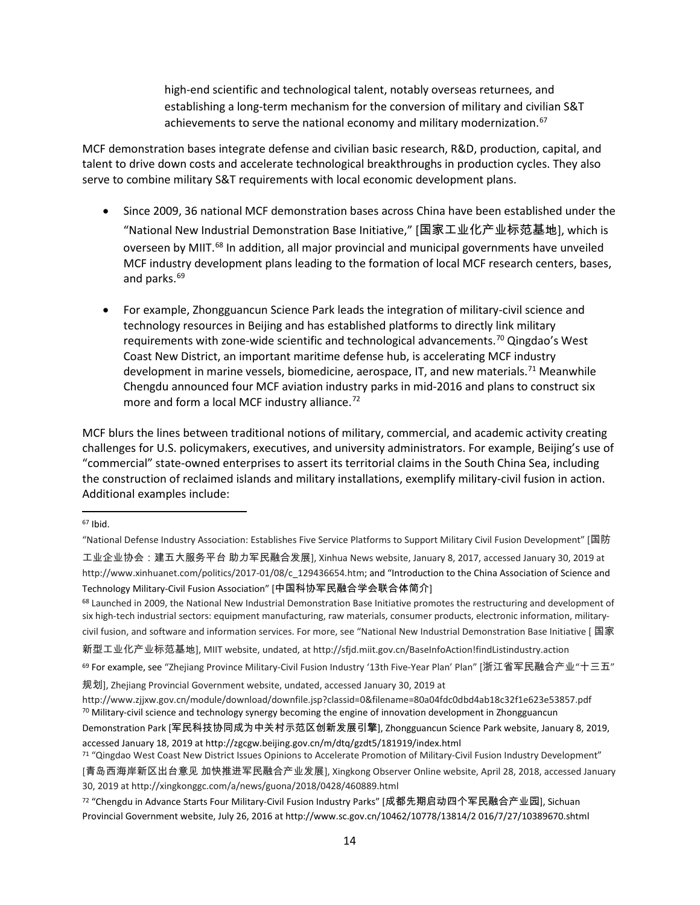high-end scientific and technological talent, notably overseas returnees, and establishing a long-term mechanism for the conversion of military and civilian S&T achievements to serve the national economy and military modernization.<sup>[67](#page-13-0)</sup>

MCF demonstration bases integrate defense and civilian basic research, R&D, production, capital, and talent to drive down costs and accelerate technological breakthroughs in production cycles. They also serve to combine military S&T requirements with local economic development plans.

- Since 2009, 36 national MCF demonstration bases across China have been established under the "National New Industrial Demonstration Base Initiative," [国家工业化产业标范基地], which is overseen by MIIT.<sup>[68](#page-13-1)</sup> In addition, all major provincial and municipal governments have unveiled MCF industry development plans leading to the formation of local MCF research centers, bases, and parks.<sup>[69](#page-13-2)</sup>
- For example, Zhongguancun Science Park leads the integration of military-civil science and technology resources in Beijing and has established platforms to directly link military requirements with zone-wide scientific and technological advancements.<sup>[70](#page-13-3)</sup> Qingdao's West Coast New District, an important maritime defense hub, is accelerating MCF industry development in marine vessels, biomedicine, aerospace, IT, and new materials.<sup>[71](#page-13-4)</sup> Meanwhile Chengdu announced four MCF aviation industry parks in mid-2016 and plans to construct six more and form a local MCF industry alliance.<sup>[72](#page-13-5)</sup>

MCF blurs the lines between traditional notions of military, commercial, and academic activity creating challenges for U.S. policymakers, executives, and university administrators. For example, Beijing's use of "commercial" state-owned enterprises to assert its territorial claims in the South China Sea, including the construction of reclaimed islands and military installations, exemplify military-civil fusion in action. Additional examples include:

civil fusion, and software and information services. For more, see "National New Industrial Demonstration Base Initiative [ 国家

新型工业化产业标范基地], MIIT website, undated, at http://sfjd.miit.gov.cn/BaseInfoAction!findListindustry.action

<span id="page-13-2"></span><sup>69</sup> For example, see "Zhejiang Province Military-Civil Fusion Industry '13th Five-Year Plan' Plan" [浙江省军民融合产业"十三五"

规划], Zhejiang Provincial Government website, undated, accessed January 30, 2019 at

<span id="page-13-0"></span> <sup>67</sup> Ibid.

<sup>&</sup>quot;National Defense Industry Association: Establishes Five Service Platforms to Support Military Civil Fusion Development" [国防

工业企业协会:建五大服务平台 助力军民融合发展], Xinhua News website, January 8, 2017, accessed January 30, 2019 at http://www.xinhuanet.com/politics/2017-01/08/c\_129436654.htm; and "Introduction to the China Association of Science and Technology Military-Civil Fusion Association" [中国科协军民融合学会联合体简介]

<span id="page-13-1"></span><sup>&</sup>lt;sup>68</sup> Launched in 2009, the National New Industrial Demonstration Base Initiative promotes the restructuring and development of six high-tech industrial sectors: equipment manufacturing, raw materials, consumer products, electronic information, military-

<span id="page-13-3"></span>http://www.zjjxw.gov.cn/module/download/downfile.jsp?classid=0&filename=80a04fdc0dbd4ab18c32f1e623e53857.pdf<br><sup>70</sup> Military-civil science and technology synergy becoming the engine of innovation development in Zhongguancun

Demonstration Park [军民科技协同成为中关村示范区创新发展引擎], Zhongguancun Science Park website, January 8, 2019, accessed January 18, 2019 at http://zgcgw.beijing.gov.cn/m/dtq/gzdt5/181919/index.html

<span id="page-13-4"></span><sup>71</sup> "Qingdao West Coast New District Issues Opinions to Accelerate Promotion of Military-Civil Fusion Industry Development"

<sup>[</sup>青岛西海岸新区出台意见 加快推进军民融合产业发展], Xingkong Observer Online website, April 28, 2018, accessed January 30, 2019 at http://xingkonggc.com/a/news/guona/2018/0428/460889.html

<span id="page-13-5"></span><sup>72</sup> "Chengdu in Advance Starts Four Military-Civil Fusion Industry Parks" [成都先期启动四个军民融合产业园], Sichuan Provincial Government website, July 26, 2016 at http://www.sc.gov.cn/10462/10778/13814/2 016/7/27/10389670.shtml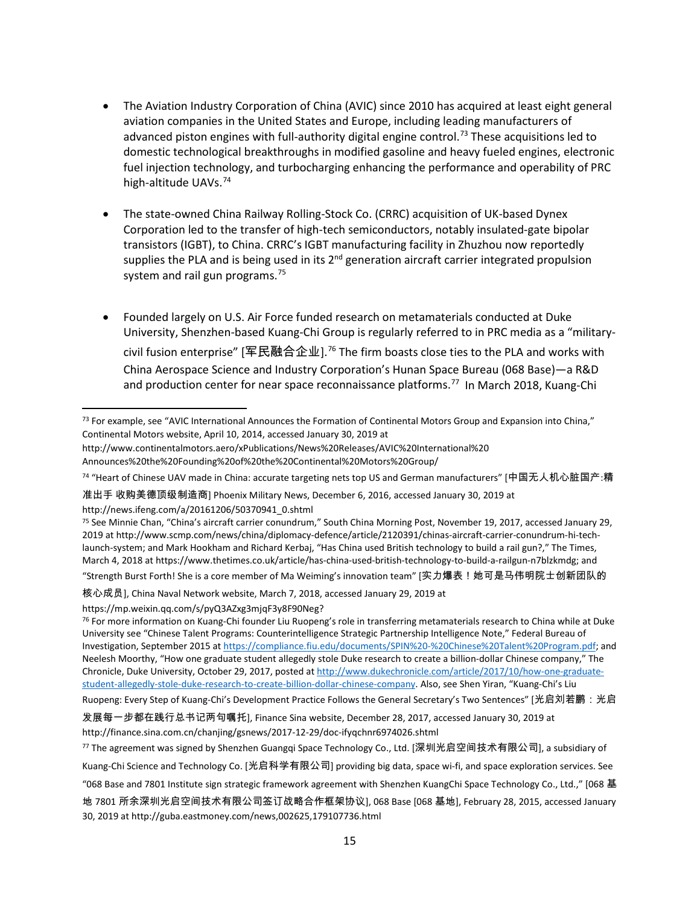- The Aviation Industry Corporation of China (AVIC) since 2010 has acquired at least eight general aviation companies in the United States and Europe, including leading manufacturers of advanced piston engines with full-authority digital engine control.<sup>[73](#page-14-0)</sup> These acquisitions led to domestic technological breakthroughs in modified gasoline and heavy fueled engines, electronic fuel injection technology, and turbocharging enhancing the performance and operability of PRC high-altitude UAVs.<sup>[74](#page-14-1)</sup>
- The state-owned China Railway Rolling-Stock Co. (CRRC) acquisition of UK-based Dynex Corporation led to the transfer of high-tech semiconductors, notably insulated-gate bipolar transistors (IGBT), to China. CRRC's IGBT manufacturing facility in Zhuzhou now reportedly supplies the PLA and is being used in its 2<sup>nd</sup> generation aircraft carrier integrated propulsion system and rail gun programs. $75$
- Founded largely on U.S. Air Force funded research on metamaterials conducted at Duke University, Shenzhen-based Kuang-Chi Group is regularly referred to in PRC media as a "military-civil fusion enterprise" [军民融合企业].<sup>[76](#page-14-3)</sup> The firm boasts close ties to the PLA and works with China Aerospace Science and Industry Corporation's Hunan Space Bureau (068 Base)—a R&D and production center for near space reconnaissance platforms. [77](#page-14-4) In March 2018, Kuang-Chi

核心成员], China Naval Network website, March 7, 2018, accessed January 29, 2019 at

https://mp.weixin.qq.com/s/pyQ3AZxg3mjqF3y8F90Neg?

<span id="page-14-3"></span><sup>76</sup> For more information on Kuang-Chi founder Liu Ruopeng's role in transferring metamaterials research to China while at Duke University see "Chinese Talent Programs: Counterintelligence Strategic Partnership Intelligence Note," Federal Bureau of Investigation, September 2015 a[t https://compliance.fiu.edu/documents/SPIN%20-%20Chinese%20Talent%20Program.pdf;](https://compliance.fiu.edu/documents/SPIN%20-%20Chinese%20Talent%20Program.pdf) and Neelesh Moorthy, "How one graduate student allegedly stole Duke research to create a billion-dollar Chinese company," The Chronicle, Duke University, October 29, 2017, posted a[t http://www.dukechronicle.com/article/2017/10/how-one-graduate](http://www.dukechronicle.com/article/2017/10/how-one-graduate-student-allegedly-stole-duke-research-to-create-billion-dollar-chinese-company)[student-allegedly-stole-duke-research-to-create-billion-dollar-chinese-company.](http://www.dukechronicle.com/article/2017/10/how-one-graduate-student-allegedly-stole-duke-research-to-create-billion-dollar-chinese-company) Also, see Shen Yiran, "Kuang-Chi's Liu Ruopeng: Every Step of Kuang-Chi's Development Practice Follows the General Secretary's Two Sentences" [光启刘若鹏:光启

<span id="page-14-0"></span><sup>73</sup> For example, see "AVIC International Announces the Formation of Continental Motors Group and Expansion into China," Continental Motors website, April 10, 2014, accessed January 30, 2019 at

http://www.continentalmotors.aero/xPublications/News%20Releases/AVIC%20International%20

Announces%20the%20Founding%20of%20the%20Continental%20Motors%20Group/

<span id="page-14-1"></span><sup>74</sup> "Heart of Chinese UAV made in China: accurate targeting nets top US and German manufacturers" [中国无人机心脏国产:精

准出手 收购美德顶级制造商] Phoenix Military News, December 6, 2016, accessed January 30, 2019 at http://news.ifeng.com/a/20161206/50370941\_0.shtml

<span id="page-14-2"></span><sup>75</sup> See Minnie Chan, "China's aircraft carrier conundrum," South China Morning Post, November 19, 2017, accessed January 29, 2019 a[t http://www.scmp.com/news/china/diplomacy-defence/article/2120391/chinas-aircraft-carrier-conundrum-hi-tech](http://www.scmp.com/news/china/diplomacy-defence/article/2120391/chinas-aircraft-carrier-conundrum-hi-tech-launch-system)[launch-system;](http://www.scmp.com/news/china/diplomacy-defence/article/2120391/chinas-aircraft-carrier-conundrum-hi-tech-launch-system) and Mark Hookham and Richard Kerbaj, "Has China used British technology to build a rail gun?," The Times, March 4, 2018 a[t https://www.thetimes.co.uk/article/has-china-used-british-technology-to-build-a-railgun-n7blzkmdg;](https://www.thetimes.co.uk/article/has-china-used-british-technology-to-build-a-railgun-n7blzkmdg) and "Strength Burst Forth! She is a core member of Ma Weiming's innovation team" [实力爆表!她可是马伟明院士创新团队的

发展每一步都在践行总书记两句嘱托], Finance Sina website, December 28, 2017, accessed January 30, 2019 at http://finance.sina.com.cn/chanjing/gsnews/2017-12-29/doc-ifyqchnr6974026.shtml

<span id="page-14-4"></span><sup>77</sup> The agreement was signed by Shenzhen Guangqi Space Technology Co., Ltd. [深圳光启空间技术有限公司], a subsidiary of

Kuang-Chi Science and Technology Co. [光启科学有限公司] providing big data, space wi-fi, and space exploration services. See

<sup>&</sup>quot;068 Base and 7801 Institute sign strategic framework agreement with Shenzhen KuangChi Space Technology Co., Ltd.," [068 基

地 7801 所余深圳光启空间技术有限公司签订战略合作框架协议], 068 Base [068 基地], February 28, 2015, accessed January 30, 2019 at http://guba.eastmoney.com/news,002625,179107736.html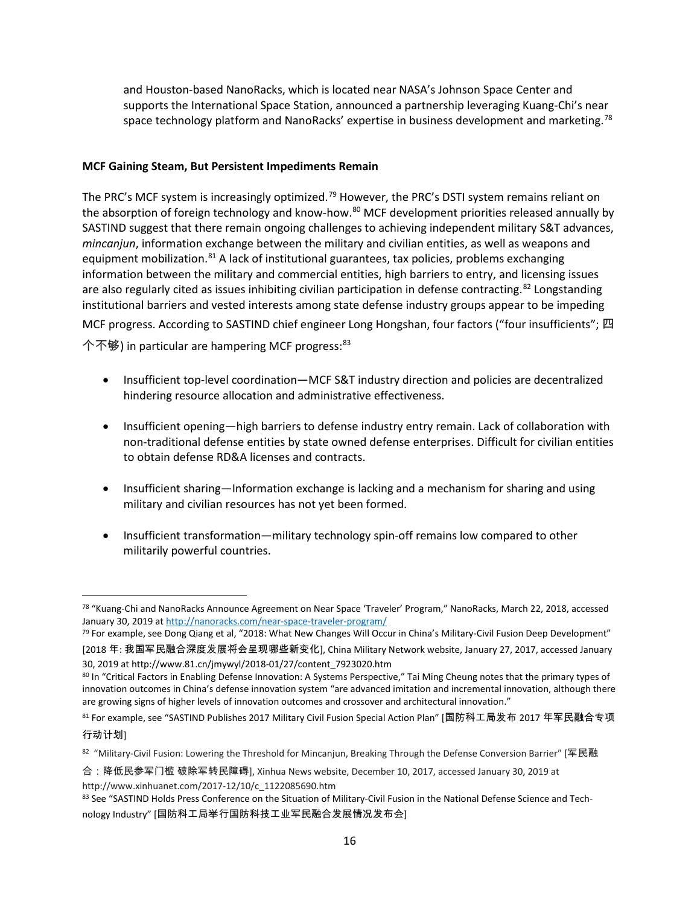and Houston-based NanoRacks, which is located near NASA's Johnson Space Center and supports the International Space Station, announced a partnership leveraging Kuang-Chi's near space technology platform and NanoRacks' expertise in business development and marketing.<sup>[78](#page-15-0)</sup>

### **MCF Gaining Steam, But Persistent Impediments Remain**

The PRC's MCF system is increasingly optimized.<sup>[79](#page-15-1)</sup> However, the PRC's DSTI system remains reliant on the absorption of foreign technology and know-how.<sup>[80](#page-15-2)</sup> MCF development priorities released annually by SASTIND suggest that there remain ongoing challenges to achieving independent military S&T advances, *mincanjun*, information exchange between the military and civilian entities, as well as weapons and equipment mobilization.<sup>[81](#page-15-3)</sup> A lack of institutional guarantees, tax policies, problems exchanging information between the military and commercial entities, high barriers to entry, and licensing issues are also regularly cited as issues inhibiting civilian participation in defense contracting.<sup>[82](#page-15-4)</sup> Longstanding institutional barriers and vested interests among state defense industry groups appear to be impeding

MCF progress. According to SASTIND chief engineer Long Hongshan, four factors ("four insufficients"; 四 个不够) in particular are hampering MCF progress: [83](#page-15-5)

- Insufficient top-level coordination—MCF S&T industry direction and policies are decentralized hindering resource allocation and administrative effectiveness.
- Insufficient opening—high barriers to defense industry entry remain. Lack of collaboration with non-traditional defense entities by state owned defense enterprises. Difficult for civilian entities to obtain defense RD&A licenses and contracts.
- Insufficient sharing—Information exchange is lacking and a mechanism for sharing and using military and civilian resources has not yet been formed.
- Insufficient transformation—military technology spin-off remains low compared to other militarily powerful countries.

<span id="page-15-0"></span> <sup>78</sup> "Kuang-Chi and NanoRacks Announce Agreement on Near Space 'Traveler' Program," NanoRacks, March 22, 2018, accessed January 30, 2019 a[t http://nanoracks.com/near-space-traveler-program/](http://nanoracks.com/near-space-traveler-program/)

<span id="page-15-1"></span><sup>79</sup> For example, see Dong Qiang et al, "2018: What New Changes Will Occur in China's Military-Civil Fusion Deep Development" [2018 年: 我国军民融合深度发展将会呈现哪些新变化], China Military Network website, January 27, 2017, accessed January 30, 2019 at http://www.81.cn/jmywyl/2018-01/27/content\_7923020.htm

<span id="page-15-2"></span><sup>80</sup> In "Critical Factors in Enabling Defense Innovation: A Systems Perspective," Tai Ming Cheung notes that the primary types of innovation outcomes in China's defense innovation system "are advanced imitation and incremental innovation, although there are growing signs of higher levels of innovation outcomes and crossover and architectural innovation."

<span id="page-15-3"></span><sup>81</sup> For example, see "SASTIND Publishes 2017 Military Civil Fusion Special Action Plan" [国防科工局发布 2017 年军民融合专项 行动计划]

<span id="page-15-4"></span><sup>82 &</sup>quot;Military-Civil Fusion: Lowering the Threshold for Mincanjun, Breaking Through the Defense Conversion Barrier" [军民融

合:降低民参军门槛 破除军转民障碍], Xinhua News website, December 10, 2017, accessed January 30, 2019 at http://www.xinhuanet.com/2017-12/10/c\_1122085690.htm<br><sup>83</sup> See "SASTIND Holds Press Conference on the Situation of Military-Civil Fusion in the National Defense Science and Tech-

<span id="page-15-5"></span>nology Industry" [国防科工局举行国防科技工业军民融合发展情况发布会]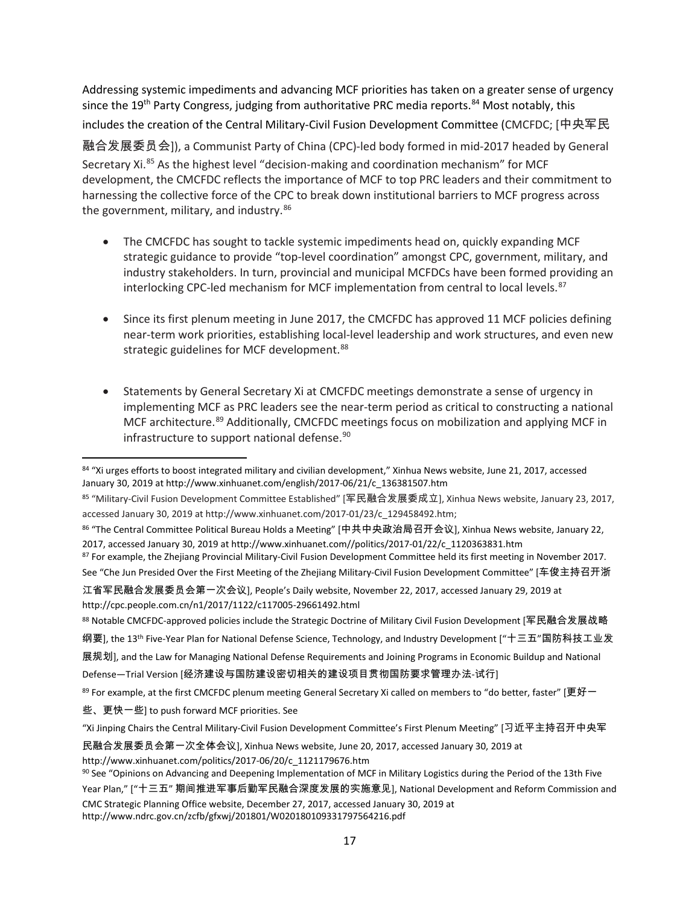Addressing systemic impediments and advancing MCF priorities has taken on a greater sense of urgency since the 19<sup>th</sup> Party Congress, judging from authoritative PRC media reports.<sup>[84](#page-16-0)</sup> Most notably, this includes the creation of the Central Military-Civil Fusion Development Committee (CMCFDC; [中央军民

融合发展委员会]), a Communist Party of China (CPC)-led body formed in mid-2017 headed by General Secretary Xi.<sup>[85](#page-16-1)</sup> As the highest level "decision-making and coordination mechanism" for MCF development, the CMCFDC reflects the importance of MCF to top PRC leaders and their commitment to harnessing the collective force of the CPC to break down institutional barriers to MCF progress across the government, military, and industry. $86$ 

- The CMCFDC has sought to tackle systemic impediments head on, quickly expanding MCF strategic guidance to provide "top-level coordination" amongst CPC, government, military, and industry stakeholders. In turn, provincial and municipal MCFDCs have been formed providing an interlocking CPC-led mechanism for MCF implementation from central to local levels.<sup>[87](#page-16-3)</sup>
- Since its first plenum meeting in June 2017, the CMCFDC has approved 11 MCF policies defining near-term work priorities, establishing local-level leadership and work structures, and even new strategic guidelines for MCF development.<sup>[88](#page-16-4)</sup>
- Statements by General Secretary Xi at CMCFDC meetings demonstrate a sense of urgency in implementing MCF as PRC leaders see the near-term period as critical to constructing a national MCF architecture.<sup>[89](#page-16-5)</sup> Additionally, CMCFDC meetings focus on mobilization and applying MCF in infrastructure to support national defense. $90$

Defense—Trial Version [经济建设与国防建设密切相关的建设项目贯彻国防要求管理办法-试行]

<span id="page-16-0"></span><sup>84 &</sup>quot;Xi urges efforts to boost integrated military and civilian development," Xinhua News website, June 21, 2017, accessed January 30, 2019 at http://www.xinhuanet.com/english/2017-06/21/c\_136381507.htm

<span id="page-16-1"></span><sup>85</sup> "Military-Civil Fusion Development Committee Established" [军民融合发展委成立], Xinhua News website, January 23, 2017, accessed January 30, 2019 at http://www.xinhuanet.com/2017-01/23/c\_129458492.htm;

<span id="page-16-2"></span><sup>86</sup> "The Central Committee Political Bureau Holds a Meeting" [中共中央政治局召开会议], Xinhua News website, January 22, 2017, accessed January 30, 2019 at http://www.xinhuanet.com//politics/2017-01/22/c\_1120363831.htm 87 For example, the Zhejiang Provincial Military-Civil Fusion Development Committee held its first meeting in November 2017.

<span id="page-16-3"></span>

See "Che Jun Presided Over the First Meeting of the Zhejiang Military-Civil Fusion Development Committee" [车俊主持召开浙

江省军民融合发展委员会第一次会议], People's Daily website, November 22, 2017, accessed January 29, 2019 at http://cpc.people.com.cn/n1/2017/1122/c117005-29661492.html

<span id="page-16-4"></span><sup>88</sup> Notable CMCFDC-approved policies include the Strategic Doctrine of Military Civil Fusion Development [军民融合发展战略 纲要], the 13th Five-Year Plan for National Defense Science, Technology, and Industry Development ["十三五"国防科技工业发

展规划], and the Law for Managing National Defense Requirements and Joining Programs in Economic Buildup and National

<span id="page-16-5"></span> $89$  For example, at the first CMCFDC plenum meeting General Secretary Xi called on members to "do better, faster" [更好一

些、更快一些] to push forward MCF priorities. See

<sup>&</sup>quot;Xi Jinping Chairs the Central Military-Civil Fusion Development Committee's First Plenum Meeting" [习近平主持召开中央军

民融合发展委员会第一次全体会议], Xinhua News website, June 20, 2017, accessed January 30, 2019 at http://www.xinhuanet.com/politics/2017-06/20/c\_1121179676.htm

<span id="page-16-6"></span><sup>90</sup> See "Opinions on Advancing and Deepening Implementation of MCF in Military Logistics during the Period of the 13th Five Year Plan," ["十三五" 期间推进军事后勤军民融合深度发展的实施意见], National Development and Reform Commission and CMC Strategic Planning Office website, December 27, 2017, accessed January 30, 2019 at http://www.ndrc.gov.cn/zcfb/gfxwj/201801/W020180109331797564216.pdf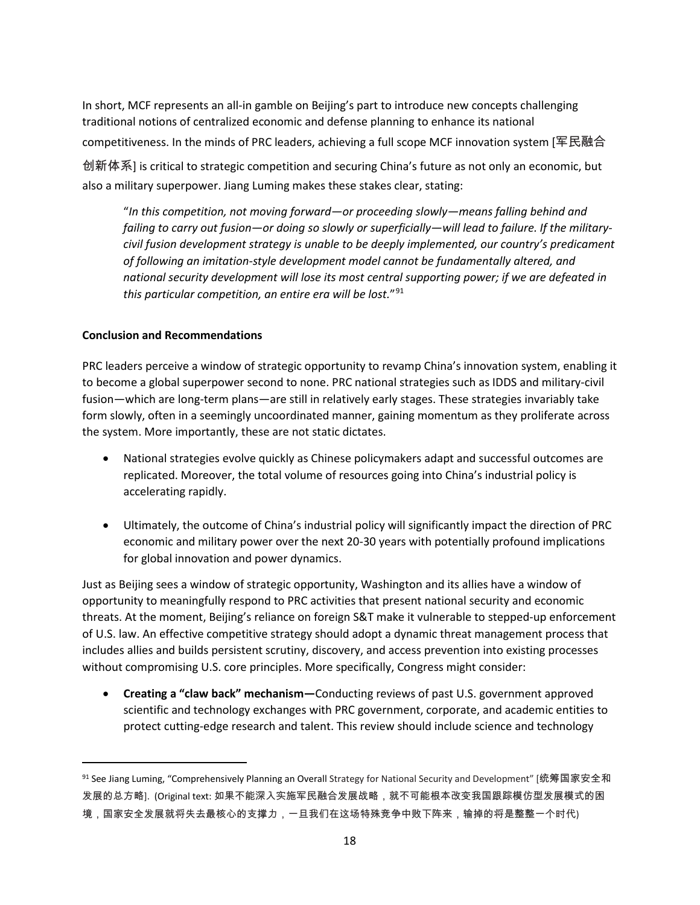In short, MCF represents an all-in gamble on Beijing's part to introduce new concepts challenging traditional notions of centralized economic and defense planning to enhance its national competitiveness. In the minds of PRC leaders, achieving a full scope MCF innovation system [军民融合

创新体系] is critical to strategic competition and securing China's future as not only an economic, but also a military superpower. Jiang Luming makes these stakes clear, stating:

"*In this competition, not moving forward—or proceeding slowly—means falling behind and failing to carry out fusion—or doing so slowly or superficially—will lead to failure. If the militarycivil fusion development strategy is unable to be deeply implemented, our country's predicament of following an imitation-style development model cannot be fundamentally altered, and national security development will lose its most central supporting power; if we are defeated in this particular competition, an entire era will be lost.*"[91](#page-17-0)

# **Conclusion and Recommendations**

l

PRC leaders perceive a window of strategic opportunity to revamp China's innovation system, enabling it to become a global superpower second to none. PRC national strategies such as IDDS and military-civil fusion—which are long-term plans—are still in relatively early stages. These strategies invariably take form slowly, often in a seemingly uncoordinated manner, gaining momentum as they proliferate across the system. More importantly, these are not static dictates.

- National strategies evolve quickly as Chinese policymakers adapt and successful outcomes are replicated. Moreover, the total volume of resources going into China's industrial policy is accelerating rapidly.
- Ultimately, the outcome of China's industrial policy will significantly impact the direction of PRC economic and military power over the next 20-30 years with potentially profound implications for global innovation and power dynamics.

Just as Beijing sees a window of strategic opportunity, Washington and its allies have a window of opportunity to meaningfully respond to PRC activities that present national security and economic threats. At the moment, Beijing's reliance on foreign S&T make it vulnerable to stepped-up enforcement of U.S. law. An effective competitive strategy should adopt a dynamic threat management process that includes allies and builds persistent scrutiny, discovery, and access prevention into existing processes without compromising U.S. core principles. More specifically, Congress might consider:

• **Creating a "claw back" mechanism—**Conducting reviews of past U.S. government approved scientific and technology exchanges with PRC government, corporate, and academic entities to protect cutting-edge research and talent. This review should include science and technology

<span id="page-17-0"></span><sup>&</sup>lt;sup>91</sup> See Jiang Luming, "Comprehensively Planning an Overall Strategy for National Security and Development" [统筹国家安全和 发展的总方略]. (Original text: 如果不能深入实施军民融合发展战略,就不可能根本改变我国跟踪模仿型发展模式的困 境,国家安全发展就将失去最核心的支撑力,一旦我们在这场特殊竞争中败下阵来,输掉的将是整整一个时代)